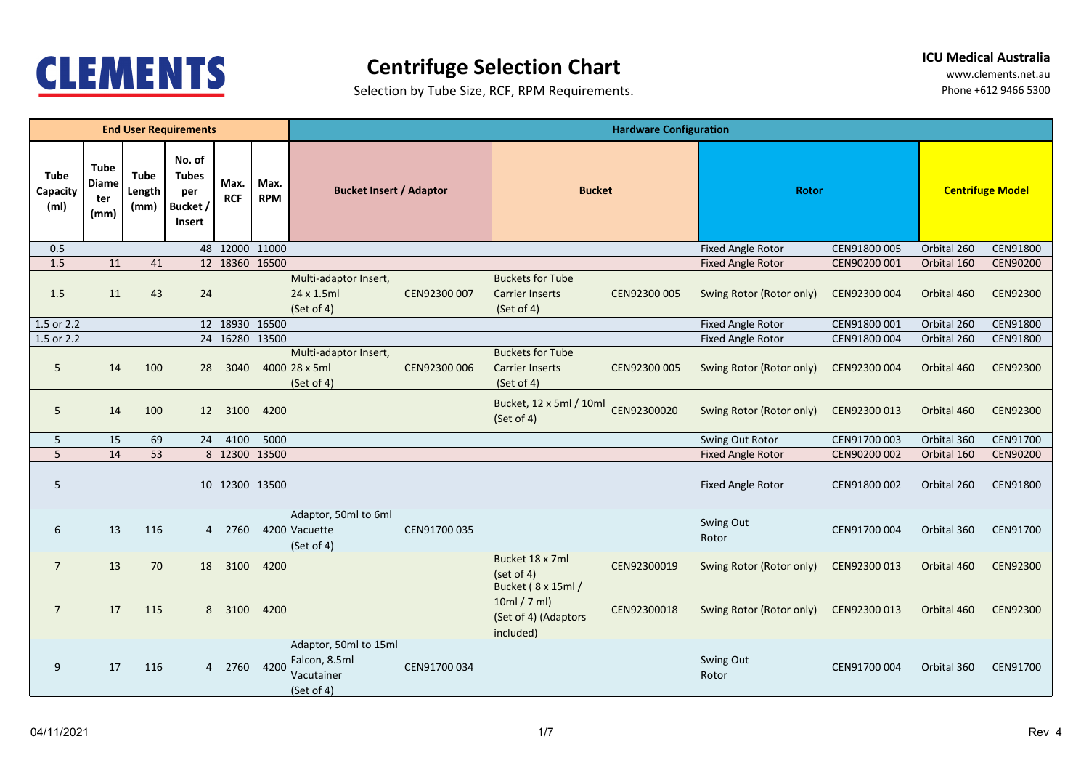

## **Centrifuge Selection Chart**

**ICU Medical Australia**

Selection by Tube Size, RCF, RPM Requirements.

|                                              |                                            |                               | <b>End User Requirements</b>                        |                    |                    | <b>Hardware Configuration</b>                                      |              |                                                                        |              |                          |              |                         |                 |  |  |
|----------------------------------------------|--------------------------------------------|-------------------------------|-----------------------------------------------------|--------------------|--------------------|--------------------------------------------------------------------|--------------|------------------------------------------------------------------------|--------------|--------------------------|--------------|-------------------------|-----------------|--|--|
| <b>Tube</b><br>Capacity<br>(m <sub>l</sub> ) | <b>Tube</b><br><b>Diame</b><br>ter<br>(mm) | <b>Tube</b><br>Length<br>(mm) | No. of<br><b>Tubes</b><br>per<br>Bucket /<br>Insert | Max.<br><b>RCF</b> | Max.<br><b>RPM</b> | <b>Bucket Insert / Adaptor</b>                                     |              | <b>Bucket</b>                                                          |              | <b>Rotor</b>             |              | <b>Centrifuge Model</b> |                 |  |  |
| 0.5                                          |                                            |                               |                                                     | 48 12000 11000     |                    |                                                                    |              |                                                                        |              | <b>Fixed Angle Rotor</b> | CEN91800 005 | Orbital 260             | CEN91800        |  |  |
| 1.5                                          | 11                                         | 41                            |                                                     | 12 18360 16500     |                    |                                                                    |              |                                                                        |              | <b>Fixed Angle Rotor</b> | CEN90200 001 | Orbital 160             | CEN90200        |  |  |
| 1.5                                          | 11                                         | 43                            | 24                                                  |                    |                    | Multi-adaptor Insert,<br>24 x 1.5ml<br>(Set of 4)                  | CEN92300 007 | <b>Buckets for Tube</b><br><b>Carrier Inserts</b><br>(Set of 4)        | CEN92300 005 | Swing Rotor (Rotor only) | CEN92300 004 | Orbital 460             | <b>CEN92300</b> |  |  |
| 1.5 or 2.2                                   |                                            |                               |                                                     | 12 18930 16500     |                    |                                                                    |              |                                                                        |              | <b>Fixed Angle Rotor</b> | CEN91800 001 | Orbital 260             | CEN91800        |  |  |
| 1.5 or 2.2                                   |                                            |                               |                                                     | 24 16280 13500     |                    |                                                                    |              |                                                                        |              | <b>Fixed Angle Rotor</b> | CEN91800 004 | Orbital 260             | CEN91800        |  |  |
| 5                                            | 14                                         | 100                           | 28                                                  | 3040               |                    | Multi-adaptor Insert,<br>4000 28 x 5ml<br>(Set of 4)               | CEN92300 006 | <b>Buckets for Tube</b><br><b>Carrier Inserts</b><br>(Set of 4)        | CEN92300 005 | Swing Rotor (Rotor only) | CEN92300 004 | Orbital 460             | <b>CEN92300</b> |  |  |
| 5                                            | 14                                         | 100                           | 12 <sup>7</sup>                                     | 3100               | 4200               |                                                                    |              | Bucket, 12 x 5ml / 10ml<br>(Set of 4)                                  | CEN92300020  | Swing Rotor (Rotor only) | CEN92300 013 | Orbital 460             | CEN92300        |  |  |
| 5                                            | 15                                         | 69                            | 24                                                  | 4100               | 5000               |                                                                    |              |                                                                        |              | Swing Out Rotor          | CEN91700 003 | Orbital 360             | CEN91700        |  |  |
| 5                                            | 14                                         | 53                            |                                                     | 8 12300 13500      |                    |                                                                    |              |                                                                        |              | <b>Fixed Angle Rotor</b> | CEN90200 002 | Orbital 160             | <b>CEN90200</b> |  |  |
| 5                                            |                                            |                               |                                                     | 10 12300 13500     |                    |                                                                    |              |                                                                        |              | <b>Fixed Angle Rotor</b> | CEN91800 002 | Orbital 260             | CEN91800        |  |  |
| 6                                            | 13                                         | 116                           | $\overline{4}$                                      | 2760               |                    | Adaptor, 50ml to 6ml<br>4200 Vacuette<br>(Set of 4)                | CEN91700 035 |                                                                        |              | Swing Out<br>Rotor       | CEN91700 004 | Orbital 360             | CEN91700        |  |  |
| $\overline{7}$                               | 13                                         | 70                            |                                                     | 18 3100            | 4200               |                                                                    |              | Bucket 18 x 7ml<br>(set of 4)                                          | CEN92300019  | Swing Rotor (Rotor only) | CEN92300 013 | Orbital 460             | CEN92300        |  |  |
| $\overline{7}$                               | 17                                         | 115                           |                                                     | 8 3100             | 4200               |                                                                    |              | Bucket (8 x 15ml /<br>10ml / 7 ml<br>(Set of 4) (Adaptors<br>included) | CEN92300018  | Swing Rotor (Rotor only) | CEN92300 013 | Orbital 460             | <b>CEN92300</b> |  |  |
| 9                                            | 17                                         | 116                           |                                                     | 4 2760             | 4200               | Adaptor, 50ml to 15ml<br>Falcon, 8.5ml<br>Vacutainer<br>(Set of 4) | CEN91700 034 |                                                                        |              | Swing Out<br>Rotor       | CEN91700 004 | Orbital 360             | CEN91700        |  |  |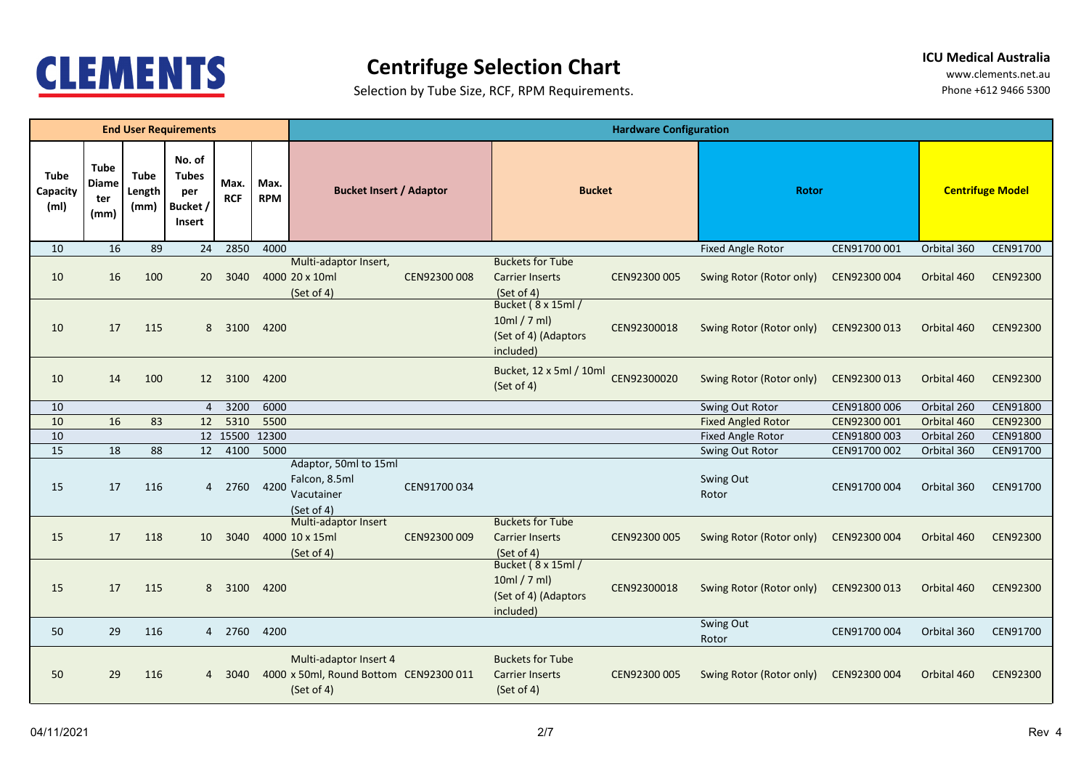

## **Centrifuge Selection Chart**

**ICU Medical Australia**

Selection by Tube Size, RCF, RPM Requirements.

|                                              |                                            |                               | <b>End User Requirements</b>                        |                    |                    | <b>Hardware Configuration</b>                                                  |              |                                                                        |              |                           |              |             |                 |  |  |
|----------------------------------------------|--------------------------------------------|-------------------------------|-----------------------------------------------------|--------------------|--------------------|--------------------------------------------------------------------------------|--------------|------------------------------------------------------------------------|--------------|---------------------------|--------------|-------------|-----------------|--|--|
| <b>Tube</b><br>Capacity<br>(m <sub>l</sub> ) | <b>Tube</b><br><b>Diame</b><br>ter<br>(mm) | <b>Tube</b><br>Length<br>(mm) | No. of<br><b>Tubes</b><br>per<br>Bucket /<br>Insert | Max.<br><b>RCF</b> | Max.<br><b>RPM</b> | <b>Bucket Insert / Adaptor</b>                                                 |              | <b>Bucket</b>                                                          |              |                           | <b>Rotor</b> |             |                 |  |  |
| 10                                           | 16                                         | 89                            | 24                                                  | 2850               | 4000               |                                                                                |              |                                                                        |              | <b>Fixed Angle Rotor</b>  | CEN91700 001 | Orbital 360 | CEN91700        |  |  |
| 10                                           | 16                                         | 100                           | 20 <sup>°</sup>                                     | 3040               |                    | Multi-adaptor Insert,<br>4000 20 x 10ml<br>(Set of 4)                          | CEN92300 008 | <b>Buckets for Tube</b><br><b>Carrier Inserts</b><br>(Set of 4)        | CEN92300 005 | Swing Rotor (Rotor only)  | CEN92300 004 | Orbital 460 | <b>CEN92300</b> |  |  |
| 10                                           | 17                                         | 115                           |                                                     | 8 3100             | 4200               |                                                                                |              | Bucket (8 x 15ml /<br>10ml / 7 ml<br>(Set of 4) (Adaptors<br>included) | CEN92300018  | Swing Rotor (Rotor only)  | CEN92300 013 | Orbital 460 | <b>CEN92300</b> |  |  |
| 10                                           | 14                                         | 100                           |                                                     | 12 3100            | 4200               |                                                                                |              | Bucket, 12 x 5ml / 10ml<br>(Set of 4)                                  | CEN92300020  | Swing Rotor (Rotor only)  | CEN92300 013 | Orbital 460 | <b>CEN92300</b> |  |  |
| 10                                           |                                            |                               | $\overline{4}$                                      | 3200               | 6000               |                                                                                |              |                                                                        |              | Swing Out Rotor           | CEN91800 006 | Orbital 260 | CEN91800        |  |  |
| 10                                           | 16                                         | 83                            | 12                                                  | 5310               | 5500               |                                                                                |              |                                                                        |              | <b>Fixed Angled Rotor</b> | CEN92300 001 | Orbital 460 | <b>CEN92300</b> |  |  |
| 10                                           |                                            |                               |                                                     | 12 15500 12300     |                    |                                                                                |              |                                                                        |              | Fixed Angle Rotor         | CEN91800 003 | Orbital 260 | CEN91800        |  |  |
| 15                                           | 18                                         | 88                            | 12                                                  | 4100               | 5000               |                                                                                |              |                                                                        |              | Swing Out Rotor           | CEN91700 002 | Orbital 360 | CEN91700        |  |  |
| 15                                           | 17                                         | 116                           | 4                                                   | 2760               | 4200               | Adaptor, 50ml to 15ml<br>Falcon, 8.5ml<br>Vacutainer<br>(Set of 4)             | CEN91700 034 |                                                                        |              | Swing Out<br>Rotor        | CEN91700 004 | Orbital 360 | CEN91700        |  |  |
| 15                                           | 17                                         | 118                           | 10 <sup>1</sup>                                     | 3040               |                    | Multi-adaptor Insert<br>4000 10 x 15ml<br>(Set of 4)                           | CEN92300 009 | <b>Buckets for Tube</b><br><b>Carrier Inserts</b><br>(Set of 4)        | CEN92300 005 | Swing Rotor (Rotor only)  | CEN92300 004 | Orbital 460 | CEN92300        |  |  |
| 15                                           | 17                                         | 115                           |                                                     | 8 3100             | 4200               |                                                                                |              | Bucket (8 x 15ml /<br>10ml / 7 ml<br>(Set of 4) (Adaptors<br>included) | CEN92300018  | Swing Rotor (Rotor only)  | CEN92300 013 | Orbital 460 | <b>CEN92300</b> |  |  |
| 50                                           | 29                                         | 116                           |                                                     | 4 2760             | 4200               |                                                                                |              |                                                                        |              | Swing Out<br>Rotor        | CEN91700 004 | Orbital 360 | CEN91700        |  |  |
| 50                                           | 29                                         | 116                           | $\overline{4}$                                      | 3040               |                    | Multi-adaptor Insert 4<br>4000 x 50ml, Round Bottom CEN92300 011<br>(Set of 4) |              | <b>Buckets for Tube</b><br><b>Carrier Inserts</b><br>(Set of 4)        | CEN92300 005 | Swing Rotor (Rotor only)  | CEN92300 004 | Orbital 460 | <b>CEN92300</b> |  |  |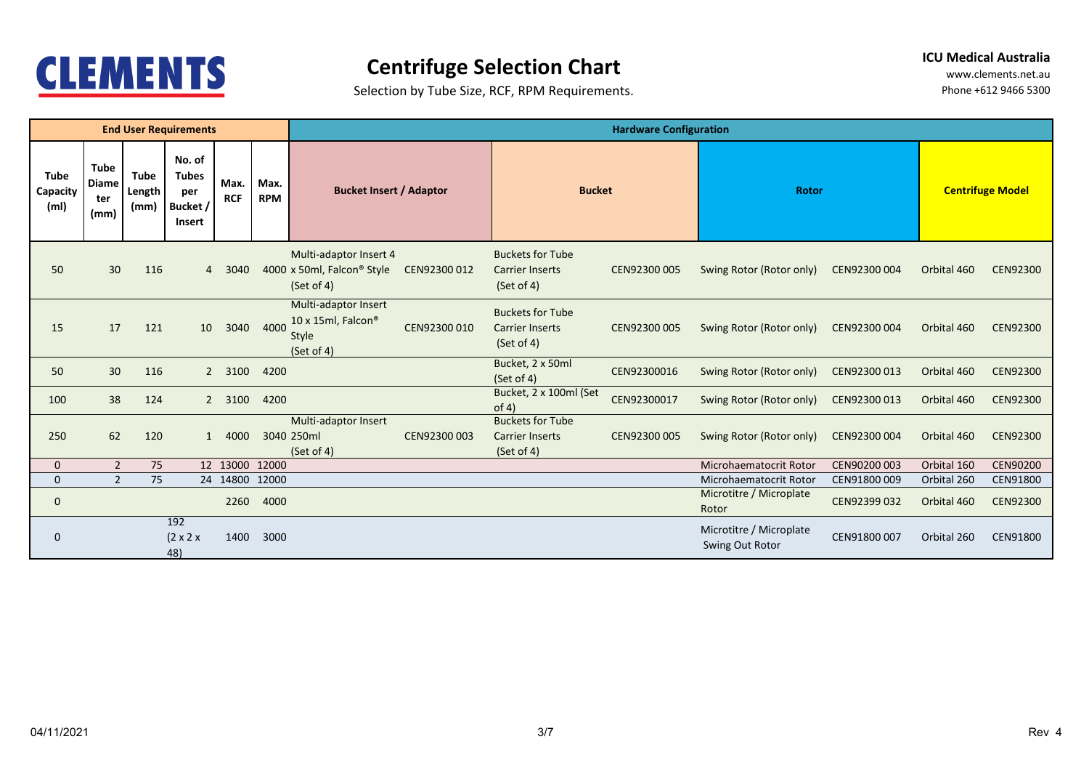

## **Centrifuge Selection Chart**

**ICU Medical Australia**

Selection by Tube Size, RCF, RPM Requirements.

|                                              |                                            |                               | <b>End User Requirements</b>                               |                    |                    |                                                                                | <b>Hardware Configuration</b> |                                                                 |              |                                            |              |                         |                 |  |  |
|----------------------------------------------|--------------------------------------------|-------------------------------|------------------------------------------------------------|--------------------|--------------------|--------------------------------------------------------------------------------|-------------------------------|-----------------------------------------------------------------|--------------|--------------------------------------------|--------------|-------------------------|-----------------|--|--|
| <b>Tube</b><br>Capacity<br>(m <sub>l</sub> ) | <b>Tube</b><br><b>Diame</b><br>ter<br>(mm) | <b>Tube</b><br>Length<br>(mm) | No. of<br><b>Tubes</b><br>per<br>Bucket /<br><b>Insert</b> | Max.<br><b>RCF</b> | Max.<br><b>RPM</b> | <b>Bucket Insert / Adaptor</b>                                                 |                               | <b>Bucket</b>                                                   |              | <b>Rotor</b>                               |              | <b>Centrifuge Model</b> |                 |  |  |
| 50                                           | 30                                         | 116                           | $\overline{4}$                                             | 3040               |                    | Multi-adaptor Insert 4<br>4000 x 50ml, Falcon <sup>®</sup> Style<br>(Set of 4) | CEN92300 012                  | <b>Buckets for Tube</b><br><b>Carrier Inserts</b><br>(Set of 4) | CEN92300 005 | Swing Rotor (Rotor only)                   | CEN92300 004 | Orbital 460             | <b>CEN92300</b> |  |  |
| 15                                           | 17                                         | 121                           | 10                                                         | 3040               | 4000               | Multi-adaptor Insert<br>10 x 15ml, Falcon®<br><b>Style</b><br>(Set of 4)       | CEN92300 010                  | <b>Buckets for Tube</b><br><b>Carrier Inserts</b><br>(Set of 4) | CEN92300 005 | Swing Rotor (Rotor only)                   | CEN92300 004 | Orbital 460             | <b>CEN92300</b> |  |  |
| 50                                           | 30                                         | 116                           | $\overline{2}$                                             | 3100               | 4200               |                                                                                |                               | Bucket, 2 x 50ml<br>(Set of 4)                                  | CEN92300016  | Swing Rotor (Rotor only)                   | CEN92300 013 | Orbital 460             | <b>CEN92300</b> |  |  |
| 100                                          | 38                                         | 124                           | $\overline{2}$                                             | 3100               | 4200               |                                                                                |                               | Bucket, 2 x 100ml (Set<br>of 4)                                 | CEN92300017  | Swing Rotor (Rotor only)                   | CEN92300 013 | Orbital 460             | <b>CEN92300</b> |  |  |
| 250                                          | 62                                         | 120                           | $\mathbf{1}$                                               | 4000               |                    | Multi-adaptor Insert<br>3040 250ml<br>(Set of 4)                               | CEN92300 003                  | <b>Buckets for Tube</b><br><b>Carrier Inserts</b><br>(Set of 4) | CEN92300 005 | Swing Rotor (Rotor only)                   | CEN92300 004 | Orbital 460             | <b>CEN92300</b> |  |  |
| $\mathbf 0$                                  | $\overline{2}$                             | 75                            |                                                            | 12 13000 12000     |                    |                                                                                |                               |                                                                 |              | Microhaematocrit Rotor                     | CEN90200 003 | Orbital 160             | <b>CEN90200</b> |  |  |
| $\mathbf{0}$                                 | $2^{\circ}$                                | 75                            |                                                            | 24 14800 12000     |                    |                                                                                |                               |                                                                 |              | Microhaematocrit Rotor                     | CEN91800 009 | Orbital 260             | CEN91800        |  |  |
| $\mathbf 0$                                  |                                            |                               |                                                            | 2260               | 4000               |                                                                                |                               |                                                                 |              | Microtitre / Microplate<br>Rotor           | CEN92399 032 | Orbital 460             | <b>CEN92300</b> |  |  |
| $\mathbf 0$                                  |                                            |                               | 192<br>$(2 \times 2 \times$<br>48)                         | 1400               | 3000               |                                                                                |                               |                                                                 |              | Microtitre / Microplate<br>Swing Out Rotor | CEN91800 007 | Orbital 260             | CEN91800        |  |  |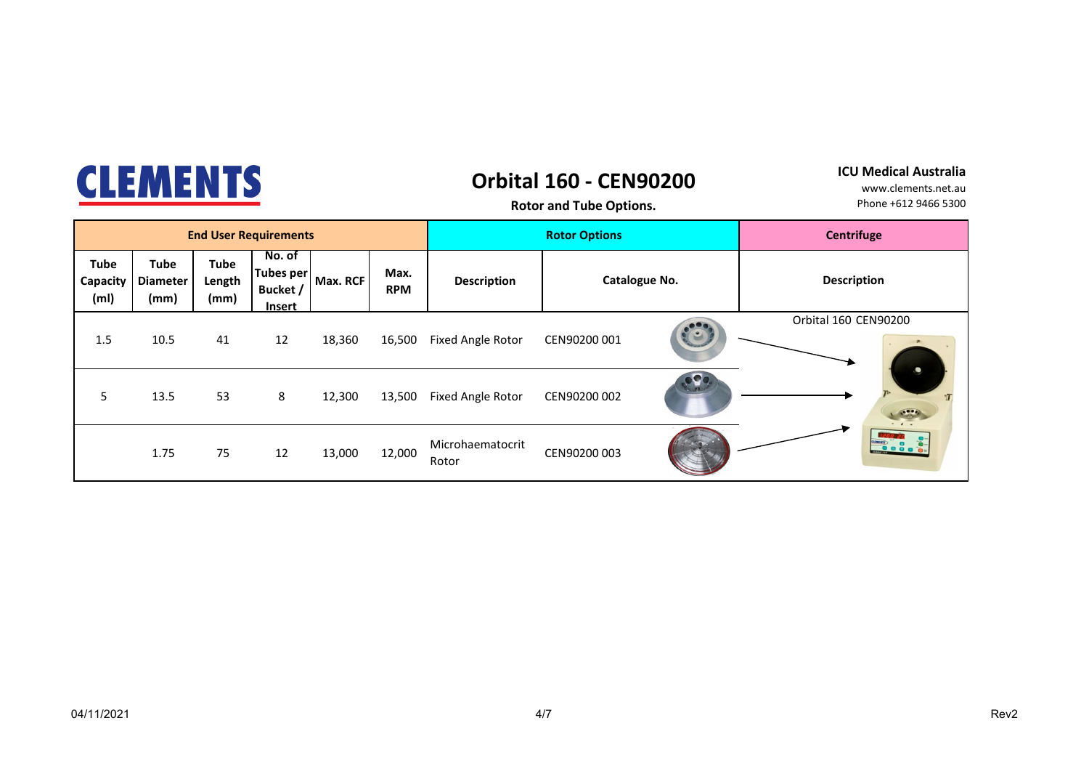| a No<br><b>GNU A</b><br>  A A U<br><b>The Contract of the Contract of the Contract of the Contract of the Contract of the Contract of the Contract o</b> |
|----------------------------------------------------------------------------------------------------------------------------------------------------------|
|----------------------------------------------------------------------------------------------------------------------------------------------------------|

### **Orbital 160 - CEN90200**

#### **ICU Medical Australia**

**Rotor and Tube Options.**

|                                              |                                        |                               | <b>End User Requirements</b>                     |          |                    |                           | <b>Rotor Options</b> | Centrifuge |                                        |
|----------------------------------------------|----------------------------------------|-------------------------------|--------------------------------------------------|----------|--------------------|---------------------------|----------------------|------------|----------------------------------------|
| <b>Tube</b><br>Capacity<br>(m <sub>l</sub> ) | <b>Tube</b><br><b>Diameter</b><br>(mm) | <b>Tube</b><br>Length<br>(mm) | No. of<br>Tubes per<br>Bucket /<br><b>Insert</b> | Max. RCF | Max.<br><b>RPM</b> | <b>Description</b>        | Catalogue No.        |            | <b>Description</b>                     |
| 1.5                                          | 10.5                                   | 41                            | 12                                               | 18,360   | 16,500             | Fixed Angle Rotor         | CEN90200 001         |            | Orbital 160 CEN90200                   |
| 5                                            | 13.5                                   | 53                            | 8                                                | 12,300   | 13,500             | Fixed Angle Rotor         | CEN90200 002         | $\bullet$  | $\bullet$<br>$\bullet \bullet \bullet$ |
|                                              | 1.75                                   | 75                            | 12                                               | 13,000   | 12,000             | Microhaematocrit<br>Rotor | CEN90200 003         |            |                                        |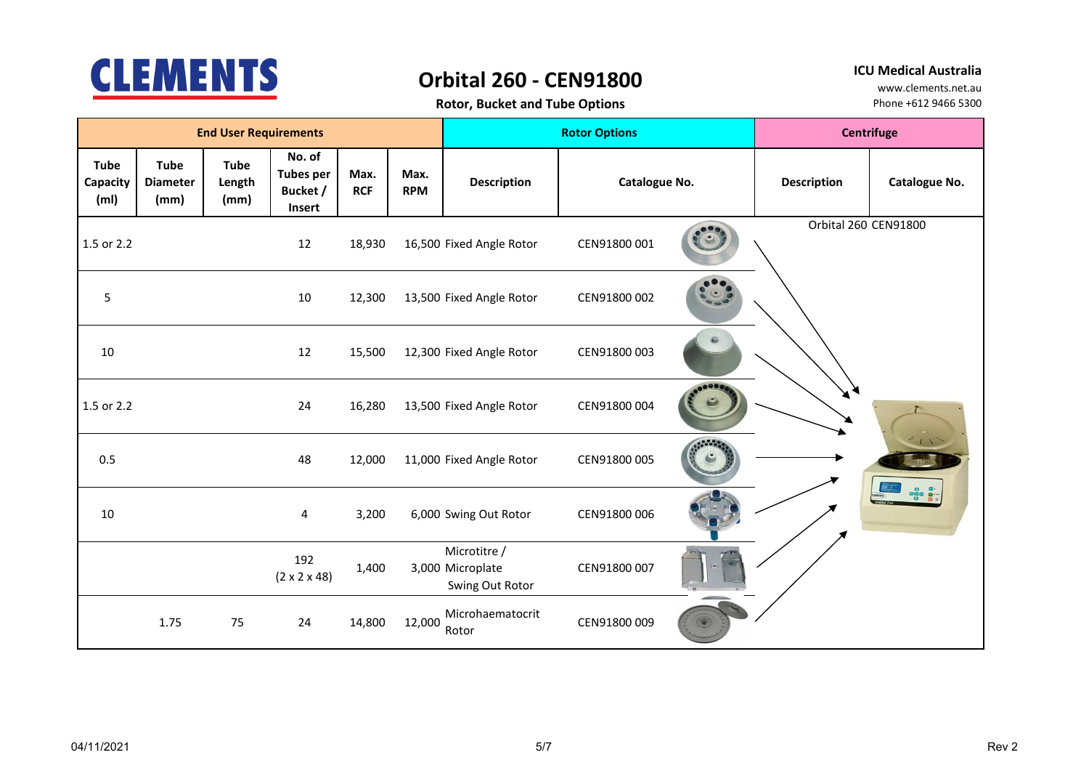

## **Orbital 260 - CEN91800**

**ICU Medical Australia**

| <b>Rotor, Bucket and Tube Options</b> |  |  |
|---------------------------------------|--|--|
|---------------------------------------|--|--|

|                                              |                                        | <b>End User Requirements</b>  |                                                  |                          |                          |                                                     | <b>Rotor Options</b> | <b>Centrifuge</b>    |                    |                |
|----------------------------------------------|----------------------------------------|-------------------------------|--------------------------------------------------|--------------------------|--------------------------|-----------------------------------------------------|----------------------|----------------------|--------------------|----------------|
| <b>Tube</b><br>Capacity<br>(m <sub>l</sub> ) | <b>Tube</b><br><b>Diameter</b><br>(mm) | <b>Tube</b><br>Length<br>(mm) | No. of<br><b>Tubes per</b><br>Bucket /<br>Insert | Max.<br><b>RCF</b>       | Max.<br><b>RPM</b>       | <b>Description</b>                                  | Catalogue No.        |                      | <b>Description</b> | Catalogue No.  |
| 1.5 or 2.2                                   | 18,930<br>12                           |                               |                                                  | 16,500 Fixed Angle Rotor | CEN91800 001             |                                                     |                      | Orbital 260 CEN91800 |                    |                |
| 5                                            |                                        |                               | 10                                               | 12,300                   |                          | 13,500 Fixed Angle Rotor                            | CEN91800 002         |                      |                    |                |
| 10                                           |                                        |                               | 12                                               | 15,500                   |                          | 12,300 Fixed Angle Rotor                            | CEN91800 003         |                      |                    |                |
| 1.5 or 2.2                                   | 24                                     |                               | 16,280                                           |                          | 13,500 Fixed Angle Rotor | CEN91800 004                                        |                      |                      |                    |                |
| 0.5                                          |                                        |                               | 48                                               | 12,000                   |                          | 11,000 Fixed Angle Rotor                            | CEN91800 005         |                      |                    | 1 <sup>2</sup> |
| 10                                           |                                        |                               | 4                                                | 3,200                    |                          | 6,000 Swing Out Rotor                               | CEN91800 006         |                      |                    |                |
|                                              | 1.75<br>75                             |                               | 192<br>$(2 \times 2 \times 48)$                  | 1,400                    |                          | Microtitre /<br>3,000 Microplate<br>Swing Out Rotor | CEN91800 007         |                      |                    |                |
|                                              |                                        |                               | 24                                               | 14,800                   | 12,000                   | Microhaematocrit<br>Rotor                           | CEN91800 009         |                      |                    |                |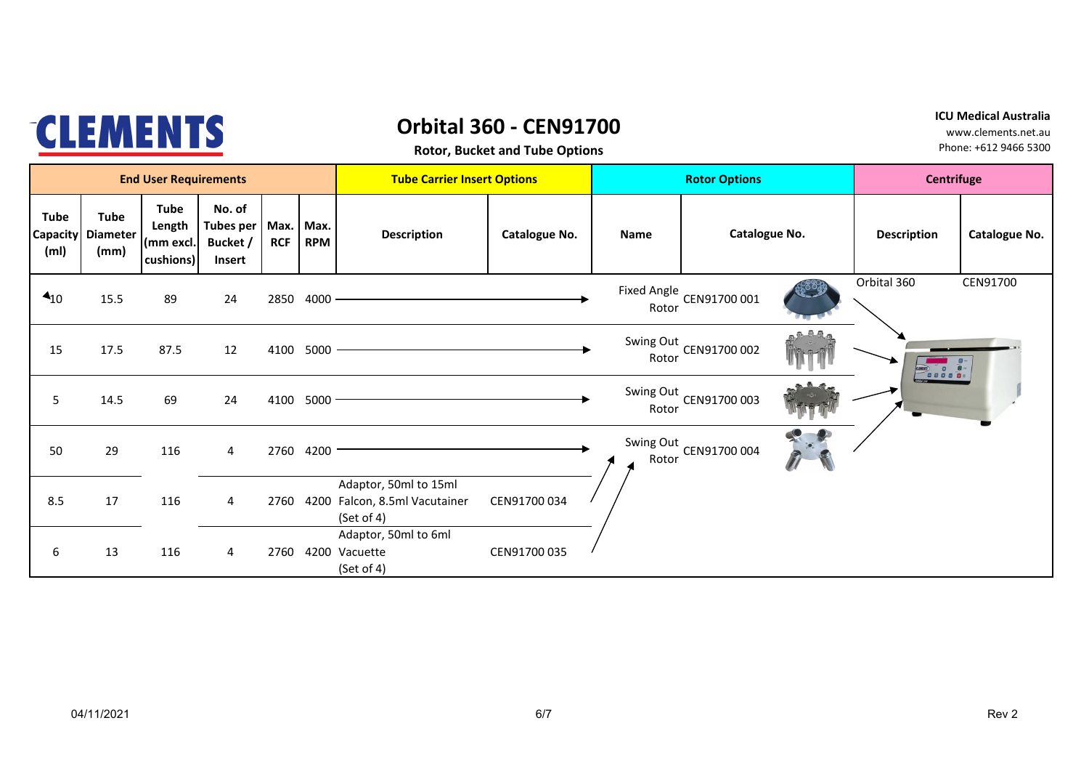|                                                     |                                        | <b>ICU Medical Australia</b><br>www.clements.net.au<br>Phone: +612 9466 5300 |                                                  |            |                         |                                                                 |               |  |       |                          |                   |                    |               |
|-----------------------------------------------------|----------------------------------------|------------------------------------------------------------------------------|--------------------------------------------------|------------|-------------------------|-----------------------------------------------------------------|---------------|--|-------|--------------------------|-------------------|--------------------|---------------|
|                                                     |                                        | <b>End User Requirements</b>                                                 |                                                  |            |                         | <b>Tube Carrier Insert Options</b>                              |               |  |       | <b>Rotor Options</b>     | <b>Centrifuge</b> |                    |               |
| <b>Tube</b><br><b>Capacity</b><br>(m <sub>l</sub> ) | <b>Tube</b><br><b>Diameter</b><br>(mm) | <b>Tube</b><br>Length<br>(mm excl.<br>cushions)                              | No. of<br><b>Tubes per</b><br>Bucket /<br>Insert | <b>RCF</b> | Max. Max.<br><b>RPM</b> | <b>Description</b>                                              | Catalogue No. |  | Name  | Catalogue No.            |                   | <b>Description</b> | Catalogue No. |
| $\triangleleft$ <sub>10</sub>                       | 15.5                                   | 89                                                                           | 24                                               | 2850       | 4000                    |                                                                 |               |  | Rotor | Fixed Angle CEN91700 001 |                   | Orbital 360        | CEN91700      |
| 15                                                  | 17.5                                   | 87.5                                                                         | 12                                               | 4100       | $5000 -$                |                                                                 |               |  | Rotor | Swing Out CEN91700 002   |                   |                    |               |
| 5                                                   | 14.5                                   | 69                                                                           | 24                                               | 4100       | $5000 -$                |                                                                 |               |  | Rotor | Swing Out CEN91700 003   |                   |                    |               |
| 50                                                  | 29                                     | 116                                                                          | 4                                                |            | 2760 4200               |                                                                 |               |  | Rotor | Swing Out CEN91700 004   |                   |                    |               |
| 8.5                                                 | 17                                     | 116                                                                          | 4                                                | 2760       | 4200                    | Adaptor, 50ml to 15ml<br>Falcon, 8.5ml Vacutainer<br>(Set of 4) | CEN91700 034  |  |       |                          |                   |                    |               |
| 6                                                   | 13                                     | 116                                                                          | 4                                                | 2760       |                         | Adaptor, 50ml to 6ml<br>4200 Vacuette<br>(Set of 4)             | CEN91700 035  |  |       |                          |                   |                    |               |